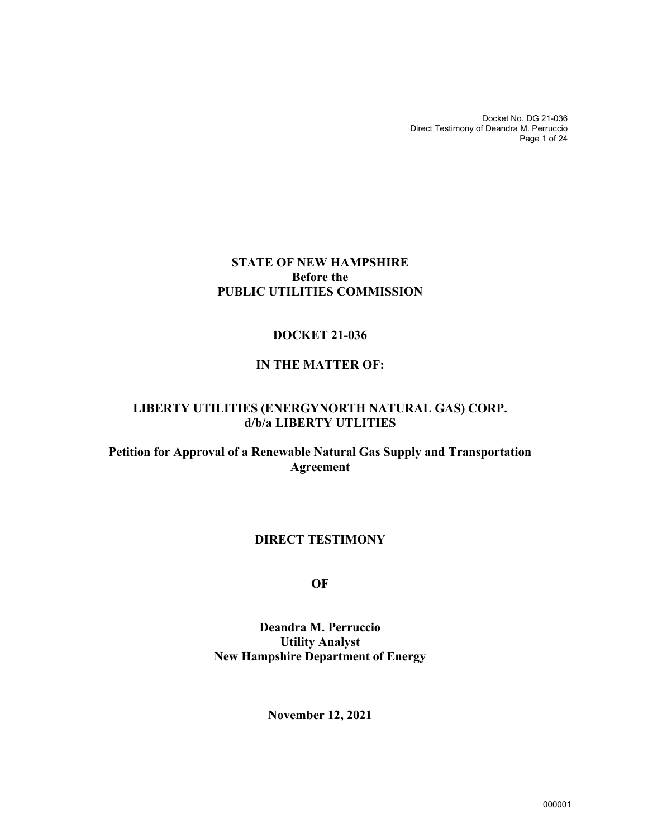Docket No. DG 21-036 Direct Testimony of Deandra M. Perruccio Page 1 of 24

### **STATE OF NEW HAMPSHIRE Before the PUBLIC UTILITIES COMMISSION**

#### **DOCKET 21-036**

#### **IN THE MATTER OF:**

## **LIBERTY UTILITIES (ENERGYNORTH NATURAL GAS) CORP. d/b/a LIBERTY UTLITIES**

**Petition for Approval of a Renewable Natural Gas Supply and Transportation Agreement** 

#### **DIRECT TESTIMONY**

**OF** 

**Deandra M. Perruccio Utility Analyst New Hampshire Department of Energy** 

**November 12, 2021**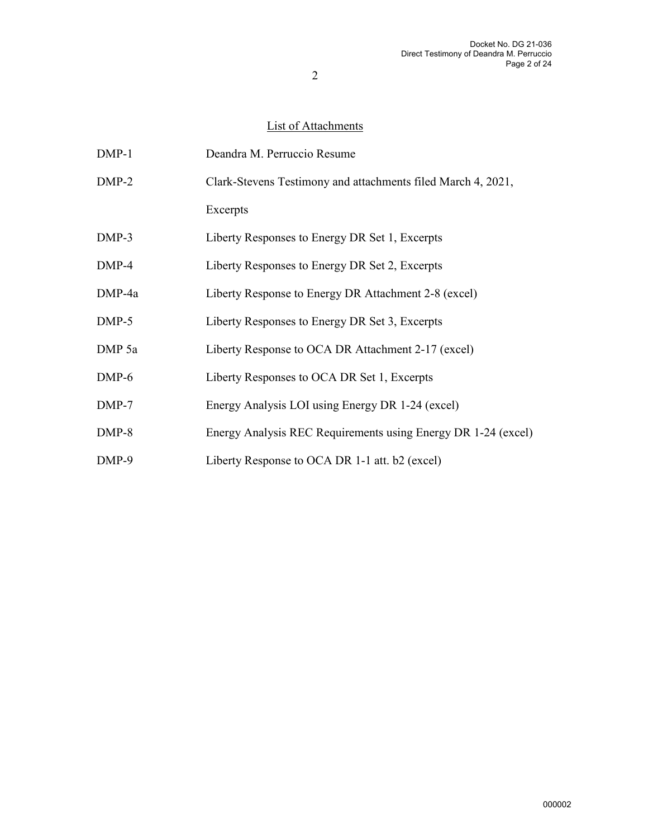## List of Attachments

| $DMP-1$ | Deandra M. Perruccio Resume                                   |
|---------|---------------------------------------------------------------|
| $DMP-2$ | Clark-Stevens Testimony and attachments filed March 4, 2021,  |
|         | Excerpts                                                      |
| $DMP-3$ | Liberty Responses to Energy DR Set 1, Excerpts                |
| DMP-4   | Liberty Responses to Energy DR Set 2, Excerpts                |
| DMP-4a  | Liberty Response to Energy DR Attachment 2-8 (excel)          |
| $DMP-5$ | Liberty Responses to Energy DR Set 3, Excerpts                |
| DMP 5a  | Liberty Response to OCA DR Attachment 2-17 (excel)            |
| $DMP-6$ | Liberty Responses to OCA DR Set 1, Excerpts                   |
| $DMP-7$ | Energy Analysis LOI using Energy DR 1-24 (excel)              |
| $DMP-8$ | Energy Analysis REC Requirements using Energy DR 1-24 (excel) |
| DMP-9   | Liberty Response to OCA DR 1-1 att. b2 (excel)                |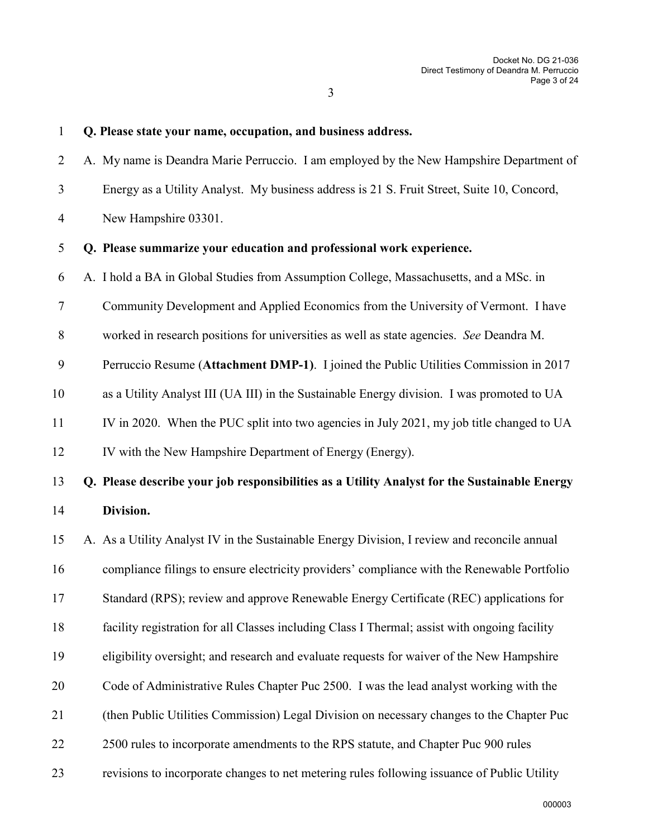#### 1 **Q. Please state your name, occupation, and business address.**

2 A. My name is Deandra Marie Perruccio. I am employed by the New Hampshire Department of 3 Energy as a Utility Analyst. My business address is 21 S. Fruit Street, Suite 10, Concord, 4 New Hampshire 03301.

#### 5 **Q. Please summarize your education and professional work experience.**

6 A. I hold a BA in Global Studies from Assumption College, Massachusetts, and a MSc. in

7 Community Development and Applied Economics from the University of Vermont. I have

8 worked in research positions for universities as well as state agencies. *See* Deandra M.

9 Perruccio Resume (**Attachment DMP-1)**. I joined the Public Utilities Commission in 2017

- 10 as a Utility Analyst III (UA III) in the Sustainable Energy division. I was promoted to UA
- 11 IV in 2020. When the PUC split into two agencies in July 2021, my job title changed to UA

12 IV with the New Hampshire Department of Energy (Energy).

# 13 **Q. Please describe your job responsibilities as a Utility Analyst for the Sustainable Energy**  14 **Division.**

15 A. As a Utility Analyst IV in the Sustainable Energy Division, I review and reconcile annual

16 compliance filings to ensure electricity providers' compliance with the Renewable Portfolio

17 Standard (RPS); review and approve Renewable Energy Certificate (REC) applications for

- 18 facility registration for all Classes including Class I Thermal; assist with ongoing facility
- 19 eligibility oversight; and research and evaluate requests for waiver of the New Hampshire
- 20 Code of Administrative Rules Chapter Puc 2500. I was the lead analyst working with the
- 21 (then Public Utilities Commission) Legal Division on necessary changes to the Chapter Puc
- 22 2500 rules to incorporate amendments to the RPS statute, and Chapter Puc 900 rules
- 23 revisions to incorporate changes to net metering rules following issuance of Public Utility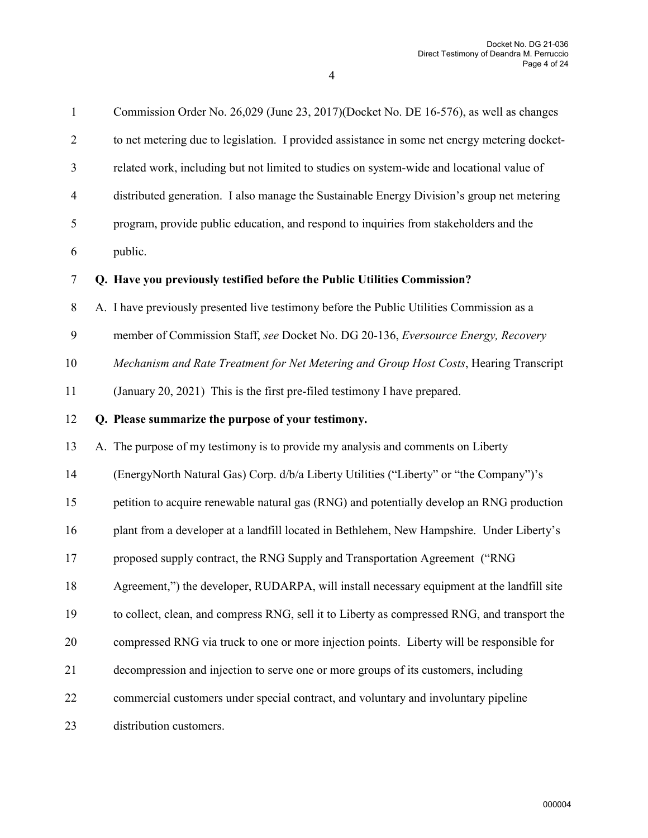| $\mathbf{1}$   | Commission Order No. 26,029 (June 23, 2017)(Docket No. DE 16-576), as well as changes         |
|----------------|-----------------------------------------------------------------------------------------------|
| $\overline{2}$ | to net metering due to legislation. I provided assistance in some net energy metering docket- |
| 3              | related work, including but not limited to studies on system-wide and locational value of     |
| $\overline{4}$ | distributed generation. I also manage the Sustainable Energy Division's group net metering    |
| 5              | program, provide public education, and respond to inquiries from stakeholders and the         |
| 6              | public.                                                                                       |
| $\tau$         | Q. Have you previously testified before the Public Utilities Commission?                      |
| $8\,$          | A. I have previously presented live testimony before the Public Utilities Commission as a     |
| 9              | member of Commission Staff, see Docket No. DG 20-136, Eversource Energy, Recovery             |
| 10             | Mechanism and Rate Treatment for Net Metering and Group Host Costs, Hearing Transcript        |
| 11             | (January 20, 2021) This is the first pre-filed testimony I have prepared.                     |
| 12             | Q. Please summarize the purpose of your testimony.                                            |
| 13             | A. The purpose of my testimony is to provide my analysis and comments on Liberty              |
| 14             | (EnergyNorth Natural Gas) Corp. d/b/a Liberty Utilities ("Liberty" or "the Company")'s        |
| 15             | petition to acquire renewable natural gas (RNG) and potentially develop an RNG production     |
| 16             | plant from a developer at a landfill located in Bethlehem, New Hampshire. Under Liberty's     |
| 17             | proposed supply contract, the RNG Supply and Transportation Agreement ("RNG                   |
| 18             | Agreement,") the developer, RUDARPA, will install necessary equipment at the landfill site    |
| 19             | to collect, clean, and compress RNG, sell it to Liberty as compressed RNG, and transport the  |
| 20             | compressed RNG via truck to one or more injection points. Liberty will be responsible for     |
| 21             | decompression and injection to serve one or more groups of its customers, including           |
| 22             | commercial customers under special contract, and voluntary and involuntary pipeline           |
| 23             | distribution customers.                                                                       |
|                |                                                                                               |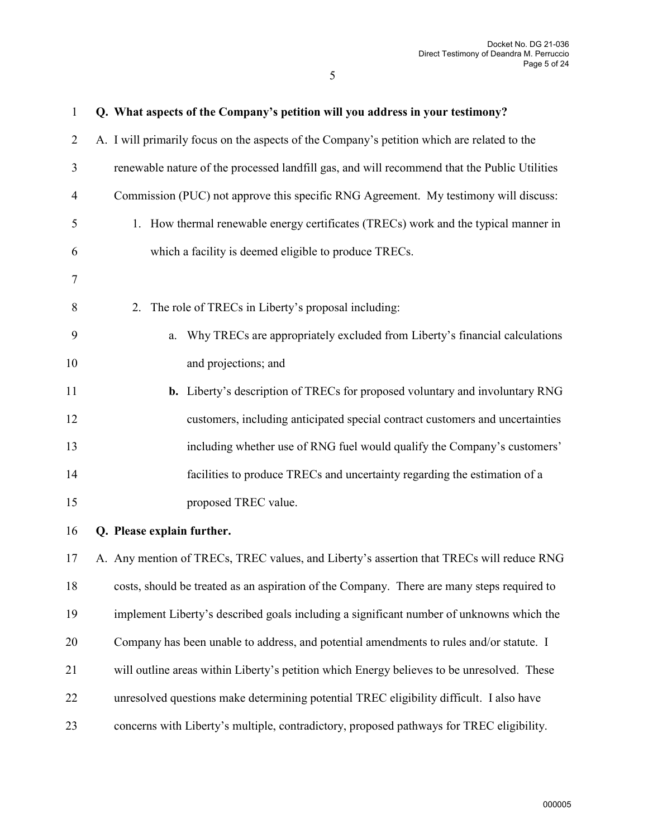| $\mathbf{1}$   | Q. What aspects of the Company's petition will you address in your testimony?                |
|----------------|----------------------------------------------------------------------------------------------|
| $\overline{2}$ | A. I will primarily focus on the aspects of the Company's petition which are related to the  |
| 3              | renewable nature of the processed landfill gas, and will recommend that the Public Utilities |
| $\overline{4}$ | Commission (PUC) not approve this specific RNG Agreement. My testimony will discuss:         |
| 5              | 1. How thermal renewable energy certificates (TRECs) work and the typical manner in          |
| 6              | which a facility is deemed eligible to produce TRECs.                                        |
| $\tau$         |                                                                                              |
| 8              | The role of TRECs in Liberty's proposal including:<br>2.                                     |
| 9              | Why TRECs are appropriately excluded from Liberty's financial calculations<br>a.             |
| 10             | and projections; and                                                                         |
| 11             | b. Liberty's description of TRECs for proposed voluntary and involuntary RNG                 |
| 12             | customers, including anticipated special contract customers and uncertainties                |
| 13             | including whether use of RNG fuel would qualify the Company's customers'                     |
| 14             | facilities to produce TRECs and uncertainty regarding the estimation of a                    |
| 15             | proposed TREC value.                                                                         |
| 16             | Q. Please explain further.                                                                   |
| 17             | A. Any mention of TRECs, TREC values, and Liberty's assertion that TRECs will reduce RNG     |
| 18             | costs, should be treated as an aspiration of the Company. There are many steps required to   |
| 19             | implement Liberty's described goals including a significant number of unknowns which the     |
| 20             | Company has been unable to address, and potential amendments to rules and/or statute. I      |
| 21             | will outline areas within Liberty's petition which Energy believes to be unresolved. These   |
| 22             | unresolved questions make determining potential TREC eligibility difficult. I also have      |
| 23             | concerns with Liberty's multiple, contradictory, proposed pathways for TREC eligibility.     |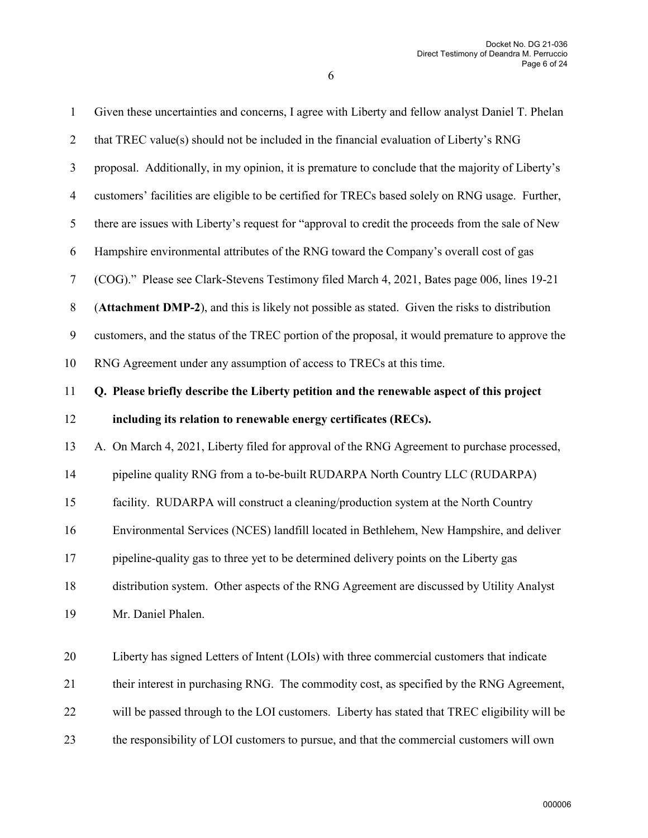| $\mathbf{1}$     | Given these uncertainties and concerns, I agree with Liberty and fellow analyst Daniel T. Phelan  |
|------------------|---------------------------------------------------------------------------------------------------|
| $\overline{2}$   | that TREC value(s) should not be included in the financial evaluation of Liberty's RNG            |
| 3                | proposal. Additionally, in my opinion, it is premature to conclude that the majority of Liberty's |
| $\overline{4}$   | customers' facilities are eligible to be certified for TRECs based solely on RNG usage. Further,  |
| 5                | there are issues with Liberty's request for "approval to credit the proceeds from the sale of New |
| 6                | Hampshire environmental attributes of the RNG toward the Company's overall cost of gas            |
| 7                | (COG)." Please see Clark-Stevens Testimony filed March 4, 2021, Bates page 006, lines 19-21       |
| $8\,$            | (Attachment DMP-2), and this is likely not possible as stated. Given the risks to distribution    |
| $\boldsymbol{9}$ | customers, and the status of the TREC portion of the proposal, it would premature to approve the  |
| 10               | RNG Agreement under any assumption of access to TRECs at this time.                               |
| 11               | Q. Please briefly describe the Liberty petition and the renewable aspect of this project          |
| 12               | including its relation to renewable energy certificates (RECs).                                   |
| 13               | A. On March 4, 2021, Liberty filed for approval of the RNG Agreement to purchase processed,       |
| 14               | pipeline quality RNG from a to-be-built RUDARPA North Country LLC (RUDARPA)                       |
| 15               | facility. RUDARPA will construct a cleaning/production system at the North Country                |
| 16               | Environmental Services (NCES) landfill located in Bethlehem, New Hampshire, and deliver           |
| 17               | pipeline-quality gas to three yet to be determined delivery points on the Liberty gas             |
| 18               | distribution system. Other aspects of the RNG Agreement are discussed by Utility Analyst          |
| 19               | Mr. Daniel Phalen.                                                                                |
| 20               | Liberty has signed Letters of Intent (LOIs) with three commercial customers that indicate         |
|                  |                                                                                                   |
| 21               | their interest in purchasing RNG. The commodity cost, as specified by the RNG Agreement,          |
| 22               | will be passed through to the LOI customers. Liberty has stated that TREC eligibility will be     |
| 23               | the responsibility of LOI customers to pursue, and that the commercial customers will own         |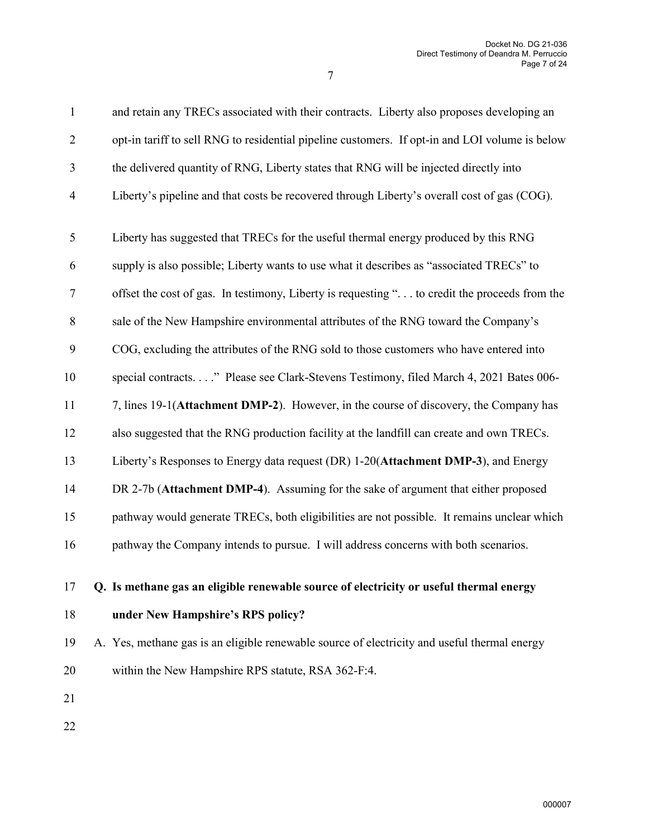| $\mathbf{1}$            | and retain any TRECs associated with their contracts. Liberty also proposes developing an      |
|-------------------------|------------------------------------------------------------------------------------------------|
| $\overline{2}$          | opt-in tariff to sell RNG to residential pipeline customers. If opt-in and LOI volume is below |
| 3                       | the delivered quantity of RNG, Liberty states that RNG will be injected directly into          |
| $\overline{\mathbf{4}}$ | Liberty's pipeline and that costs be recovered through Liberty's overall cost of gas (COG).    |
| 5                       | Liberty has suggested that TRECs for the useful thermal energy produced by this RNG            |
| 6                       | supply is also possible; Liberty wants to use what it describes as "associated TRECs" to       |
| 7                       | offset the cost of gas. In testimony, Liberty is requesting " to credit the proceeds from the  |
| 8                       | sale of the New Hampshire environmental attributes of the RNG toward the Company's             |
| 9                       | COG, excluding the attributes of the RNG sold to those customers who have entered into         |
| 10                      | special contracts" Please see Clark-Stevens Testimony, filed March 4, 2021 Bates 006-          |
| 11                      | 7, lines 19-1(Attachment DMP-2). However, in the course of discovery, the Company has          |
| 12                      | also suggested that the RNG production facility at the landfill can create and own TRECs.      |
| 13                      | Liberty's Responses to Energy data request (DR) 1-20(Attachment DMP-3), and Energy             |
| 14                      | DR 2-7b (Attachment DMP-4). Assuming for the sake of argument that either proposed             |
| 15                      | pathway would generate TRECs, both eligibilities are not possible. It remains unclear which    |
| 16                      | pathway the Company intends to pursue. I will address concerns with both scenarios.            |
| 17                      | Q. Is methane gas an eligible renewable source of electricity or useful thermal energy         |
| 18                      | under New Hampshire's RPS policy?                                                              |

- 19 A. Yes, methane gas is an eligible renewable source of electricity and useful thermal energy 20 within the New Hampshire RPS statute, RSA 362-F:4.
- 21
- 22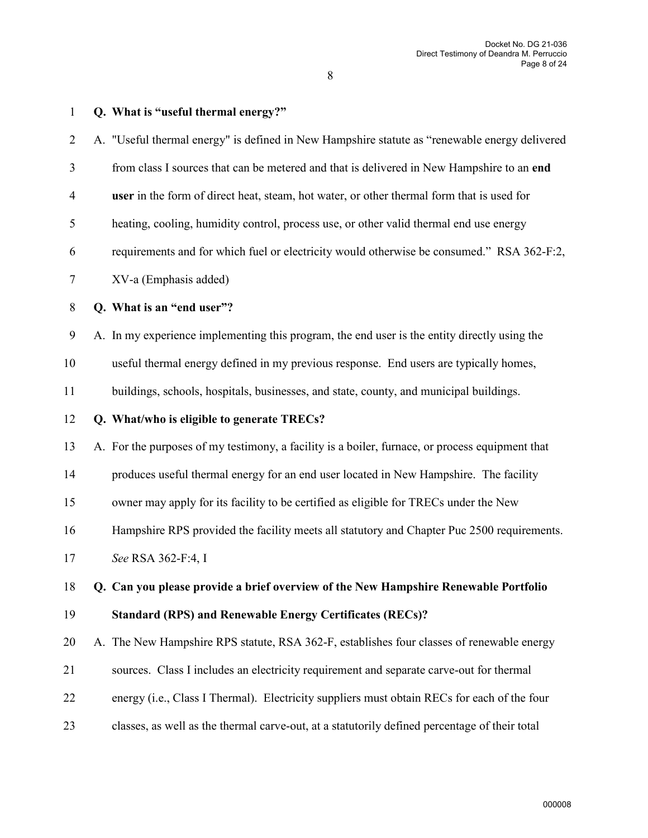| $\overline{2}$ | A. "Useful thermal energy" is defined in New Hampshire statute as "renewable energy delivered   |
|----------------|-------------------------------------------------------------------------------------------------|
| 3              | from class I sources that can be metered and that is delivered in New Hampshire to an end       |
| $\overline{4}$ | user in the form of direct heat, steam, hot water, or other thermal form that is used for       |
| 5              | heating, cooling, humidity control, process use, or other valid thermal end use energy          |
| 6              | requirements and for which fuel or electricity would otherwise be consumed." RSA 362-F:2,       |
| 7              | XV-a (Emphasis added)                                                                           |
| 8              | Q. What is an "end user"?                                                                       |
| 9              | A. In my experience implementing this program, the end user is the entity directly using the    |
| 10             | useful thermal energy defined in my previous response. End users are typically homes,           |
| 11             | buildings, schools, hospitals, businesses, and state, county, and municipal buildings.          |
| 12             | Q. What/who is eligible to generate TRECs?                                                      |
| 13             | A. For the purposes of my testimony, a facility is a boiler, furnace, or process equipment that |
| 14             | produces useful thermal energy for an end user located in New Hampshire. The facility           |
| 15             | owner may apply for its facility to be certified as eligible for TRECs under the New            |
| 16             | Hampshire RPS provided the facility meets all statutory and Chapter Puc 2500 requirements.      |
| 17             | See RSA 362-F:4, I                                                                              |
| 18             | Q. Can you please provide a brief overview of the New Hampshire Renewable Portfolio             |
| 19             | <b>Standard (RPS) and Renewable Energy Certificates (RECs)?</b>                                 |
| 20             | A. The New Hampshire RPS statute, RSA 362-F, establishes four classes of renewable energy       |
| 21             | sources. Class I includes an electricity requirement and separate carve-out for thermal         |
| 22             | energy (i.e., Class I Thermal). Electricity suppliers must obtain RECs for each of the four     |
| 23             | classes, as well as the thermal carve-out, at a statutorily defined percentage of their total   |
|                |                                                                                                 |

1 **Q. What is "useful thermal energy?"**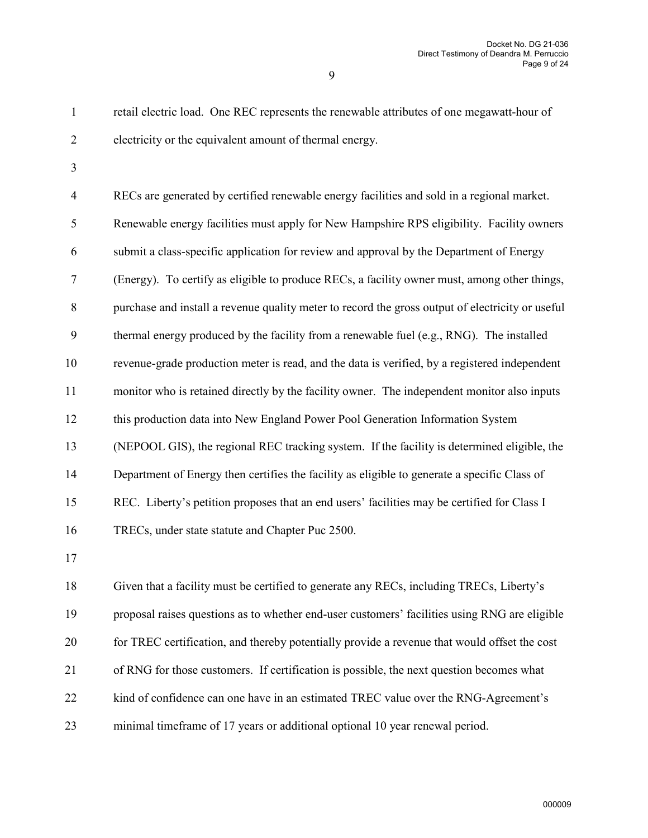1 retail electric load. One REC represents the renewable attributes of one megawatt-hour of 2 electricity or the equivalent amount of thermal energy.

3

4 RECs are generated by certified renewable energy facilities and sold in a regional market. 5 Renewable energy facilities must apply for New Hampshire RPS eligibility. Facility owners 6 submit a class-specific application for review and approval by the Department of Energy 7 (Energy). To certify as eligible to produce RECs, a facility owner must, among other things, 8 purchase and install a revenue quality meter to record the gross output of electricity or useful 9 thermal energy produced by the facility from a renewable fuel (e.g., RNG). The installed 10 revenue-grade production meter is read, and the data is verified, by a registered independent 11 monitor who is retained directly by the facility owner. The independent monitor also inputs 12 this production data into New England Power Pool Generation Information System 13 (NEPOOL GIS), the regional REC tracking system. If the facility is determined eligible, the 14 Department of Energy then certifies the facility as eligible to generate a specific Class of 15 REC. Liberty's petition proposes that an end users' facilities may be certified for Class I 16 TRECs, under state statute and Chapter Puc 2500.

17

18 Given that a facility must be certified to generate any RECs, including TRECs, Liberty's 19 proposal raises questions as to whether end-user customers' facilities using RNG are eligible 20 for TREC certification, and thereby potentially provide a revenue that would offset the cost 21 of RNG for those customers. If certification is possible, the next question becomes what 22 kind of confidence can one have in an estimated TREC value over the RNG-Agreement's 23 minimal timeframe of 17 years or additional optional 10 year renewal period.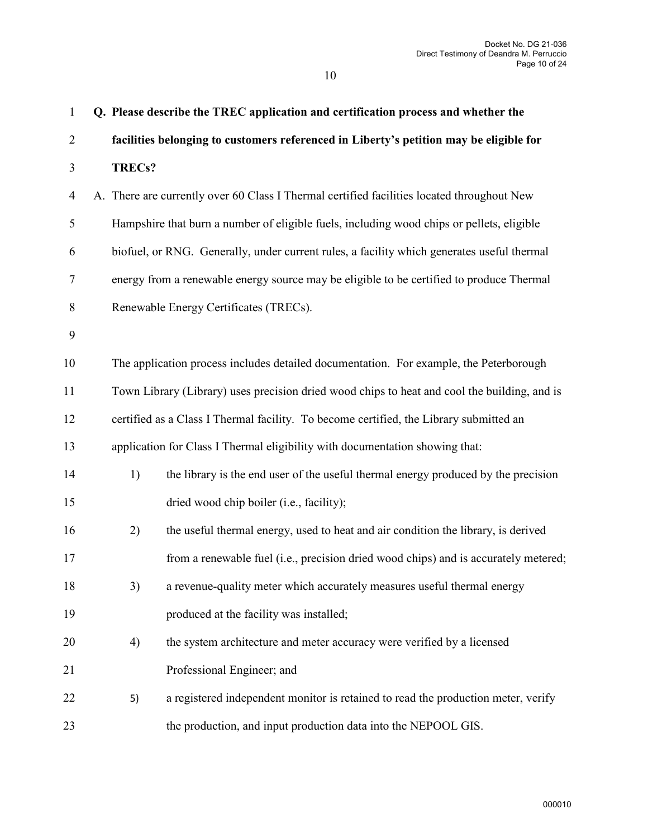| $\mathbf{1}$     |        | Q. Please describe the TREC application and certification process and whether the            |
|------------------|--------|----------------------------------------------------------------------------------------------|
| $\overline{2}$   |        | facilities belonging to customers referenced in Liberty's petition may be eligible for       |
| $\mathfrak{Z}$   | TRECs? |                                                                                              |
| $\overline{4}$   |        | A. There are currently over 60 Class I Thermal certified facilities located throughout New   |
| 5                |        | Hampshire that burn a number of eligible fuels, including wood chips or pellets, eligible    |
| 6                |        | biofuel, or RNG. Generally, under current rules, a facility which generates useful thermal   |
| $\boldsymbol{7}$ |        | energy from a renewable energy source may be eligible to be certified to produce Thermal     |
| $\,8\,$          |        | Renewable Energy Certificates (TRECs).                                                       |
| $\boldsymbol{9}$ |        |                                                                                              |
| 10               |        | The application process includes detailed documentation. For example, the Peterborough       |
| 11               |        | Town Library (Library) uses precision dried wood chips to heat and cool the building, and is |
| 12               |        | certified as a Class I Thermal facility. To become certified, the Library submitted an       |
| 13               |        | application for Class I Thermal eligibility with documentation showing that:                 |
| 14               | 1)     | the library is the end user of the useful thermal energy produced by the precision           |
| 15               |        | dried wood chip boiler (i.e., facility);                                                     |
| 16               | 2)     | the useful thermal energy, used to heat and air condition the library, is derived            |
| 17               |        | from a renewable fuel (i.e., precision dried wood chips) and is accurately metered;          |
| 18               | 3)     | a revenue-quality meter which accurately measures useful thermal energy                      |
| 19               |        | produced at the facility was installed;                                                      |
| 20               | 4)     | the system architecture and meter accuracy were verified by a licensed                       |
| 21               |        | Professional Engineer; and                                                                   |
| 22               | 5)     | a registered independent monitor is retained to read the production meter, verify            |
| 23               |        | the production, and input production data into the NEPOOL GIS.                               |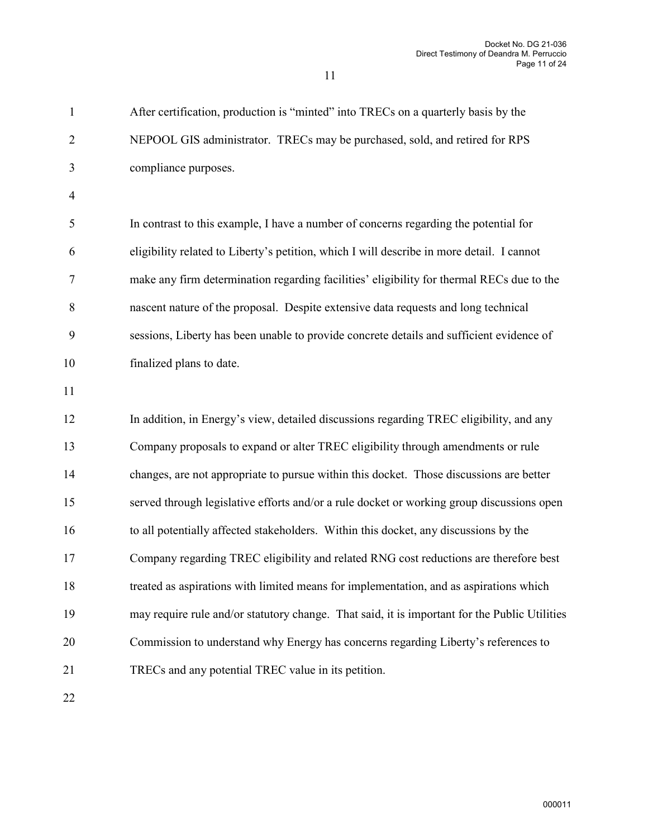1 After certification, production is "minted" into TRECs on a quarterly basis by the 2 NEPOOL GIS administrator. TRECs may be purchased, sold, and retired for RPS 3 compliance purposes. 4 5 In contrast to this example, I have a number of concerns regarding the potential for 6 eligibility related to Liberty's petition, which I will describe in more detail. I cannot 7 make any firm determination regarding facilities' eligibility for thermal RECs due to the 8 nascent nature of the proposal. Despite extensive data requests and long technical 9 sessions, Liberty has been unable to provide concrete details and sufficient evidence of 10 finalized plans to date. 11 12 In addition, in Energy's view, detailed discussions regarding TREC eligibility, and any 13 Company proposals to expand or alter TREC eligibility through amendments or rule 14 changes, are not appropriate to pursue within this docket. Those discussions are better 15 served through legislative efforts and/or a rule docket or working group discussions open 16 to all potentially affected stakeholders. Within this docket, any discussions by the 17 Company regarding TREC eligibility and related RNG cost reductions are therefore best 18 treated as aspirations with limited means for implementation, and as aspirations which 19 may require rule and/or statutory change. That said, it is important for the Public Utilities 20 Commission to understand why Energy has concerns regarding Liberty's references to 21 TRECs and any potential TREC value in its petition.

11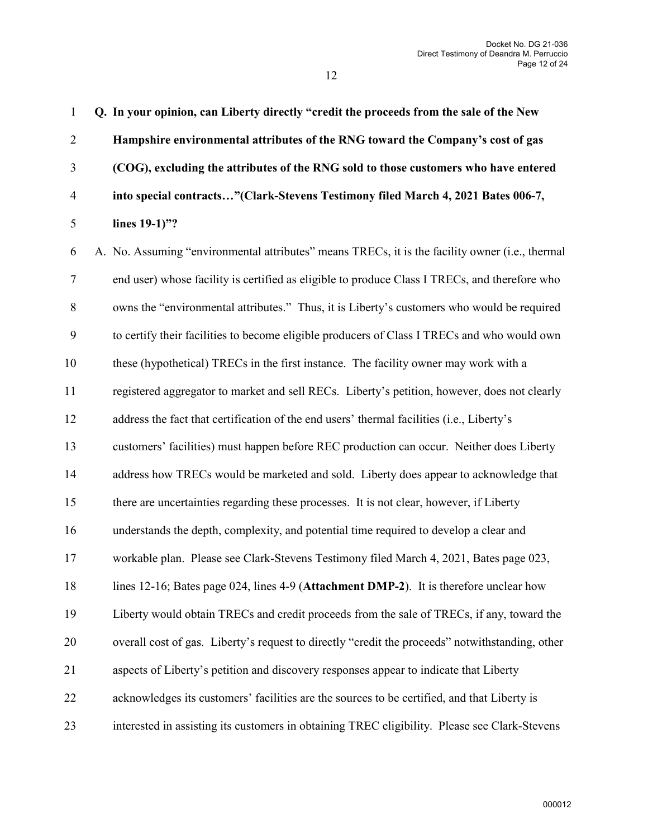1 **Q. In your opinion, can Liberty directly "credit the proceeds from the sale of the New** 

2 **Hampshire environmental attributes of the RNG toward the Company's cost of gas** 

3 **(COG), excluding the attributes of the RNG sold to those customers who have entered**  4 **into special contracts…"(Clark-Stevens Testimony filed March 4, 2021 Bates 006-7,**  5 **lines 19-1)"?**  6 A. No. Assuming "environmental attributes" means TRECs, it is the facility owner (i.e., thermal 7 end user) whose facility is certified as eligible to produce Class I TRECs, and therefore who 8 owns the "environmental attributes." Thus, it is Liberty's customers who would be required 9 to certify their facilities to become eligible producers of Class I TRECs and who would own 10 these (hypothetical) TRECs in the first instance. The facility owner may work with a 11 registered aggregator to market and sell RECs. Liberty's petition, however, does not clearly 12 address the fact that certification of the end users' thermal facilities (i.e., Liberty's 13 customers' facilities) must happen before REC production can occur. Neither does Liberty 14 address how TRECs would be marketed and sold. Liberty does appear to acknowledge that 15 there are uncertainties regarding these processes. It is not clear, however, if Liberty 16 understands the depth, complexity, and potential time required to develop a clear and 17 workable plan. Please see Clark-Stevens Testimony filed March 4, 2021, Bates page 023, 18 lines 12-16; Bates page 024, lines 4-9 (**Attachment DMP-2**). It is therefore unclear how 19 Liberty would obtain TRECs and credit proceeds from the sale of TRECs, if any, toward the

20 overall cost of gas. Liberty's request to directly "credit the proceeds" notwithstanding, other

- 21 aspects of Liberty's petition and discovery responses appear to indicate that Liberty
- 22 acknowledges its customers' facilities are the sources to be certified, and that Liberty is
- 23 interested in assisting its customers in obtaining TREC eligibility. Please see Clark-Stevens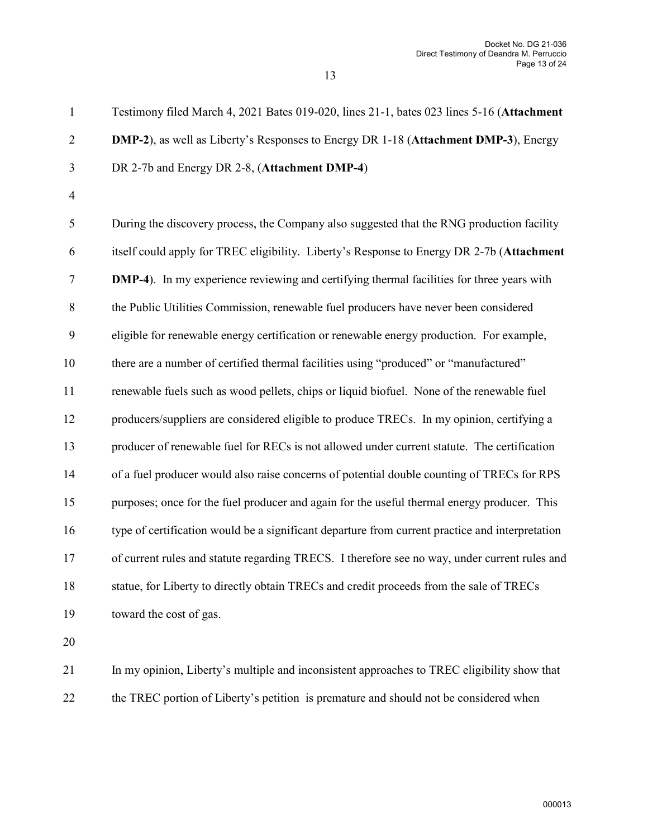1 Testimony filed March 4, 2021 Bates 019-020, lines 21-1, bates 023 lines 5-16 (**Attachment**  2 **DMP-2**), as well as Liberty's Responses to Energy DR 1-18 (**Attachment DMP-3**), Energy 3 DR 2-7b and Energy DR 2-8, (**Attachment DMP-4**) 4 5 During the discovery process, the Company also suggested that the RNG production facility 6 itself could apply for TREC eligibility. Liberty's Response to Energy DR 2-7b (**Attachment**  7 **DMP-4**). In my experience reviewing and certifying thermal facilities for three years with

8 the Public Utilities Commission, renewable fuel producers have never been considered

9 eligible for renewable energy certification or renewable energy production. For example,

10 there are a number of certified thermal facilities using "produced" or "manufactured"

11 renewable fuels such as wood pellets, chips or liquid biofuel. None of the renewable fuel

12 producers/suppliers are considered eligible to produce TRECs. In my opinion, certifying a

13 producer of renewable fuel for RECs is not allowed under current statute. The certification

14 of a fuel producer would also raise concerns of potential double counting of TRECs for RPS

15 purposes; once for the fuel producer and again for the useful thermal energy producer. This 16 type of certification would be a significant departure from current practice and interpretation

17 of current rules and statute regarding TRECS. I therefore see no way, under current rules and

18 statue, for Liberty to directly obtain TRECs and credit proceeds from the sale of TRECs

19 toward the cost of gas.

20

21 In my opinion, Liberty's multiple and inconsistent approaches to TREC eligibility show that 22 the TREC portion of Liberty's petition is premature and should not be considered when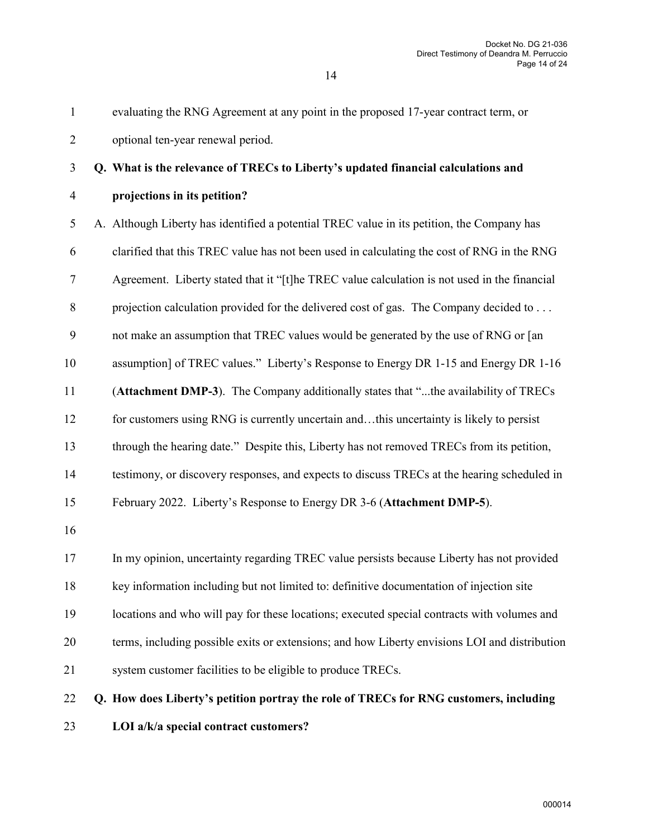| 23               | LOI a/k/a special contract customers?                                                         |
|------------------|-----------------------------------------------------------------------------------------------|
| 22               | Q. How does Liberty's petition portray the role of TRECs for RNG customers, including         |
| 21               | system customer facilities to be eligible to produce TRECs.                                   |
| 20               | terms, including possible exits or extensions; and how Liberty envisions LOI and distribution |
| 19               | locations and who will pay for these locations; executed special contracts with volumes and   |
| 18               | key information including but not limited to: definitive documentation of injection site      |
| 17               | In my opinion, uncertainty regarding TREC value persists because Liberty has not provided     |
| 16               |                                                                                               |
| 15               | February 2022. Liberty's Response to Energy DR 3-6 (Attachment DMP-5).                        |
| 14               | testimony, or discovery responses, and expects to discuss TRECs at the hearing scheduled in   |
| 13               | through the hearing date." Despite this, Liberty has not removed TRECs from its petition,     |
| 12               | for customers using RNG is currently uncertain andthis uncertainty is likely to persist       |
| 11               | (Attachment DMP-3). The Company additionally states that "the availability of TRECs           |
| 10               | assumption] of TREC values." Liberty's Response to Energy DR 1-15 and Energy DR 1-16          |
| 9                | not make an assumption that TREC values would be generated by the use of RNG or [an           |
| $8\,$            | projection calculation provided for the delivered cost of gas. The Company decided to         |
| $\boldsymbol{7}$ | Agreement. Liberty stated that it "[t]he TREC value calculation is not used in the financial  |
| 6                | clarified that this TREC value has not been used in calculating the cost of RNG in the RNG    |
| 5                | A. Although Liberty has identified a potential TREC value in its petition, the Company has    |
| $\overline{4}$   | projections in its petition?                                                                  |
| $\overline{3}$   | Q. What is the relevance of TRECs to Liberty's updated financial calculations and             |
| $\mathbf{2}$     | optional ten-year renewal period.                                                             |
| $\mathbf{1}$     | evaluating the RNG Agreement at any point in the proposed 17-year contract term, or           |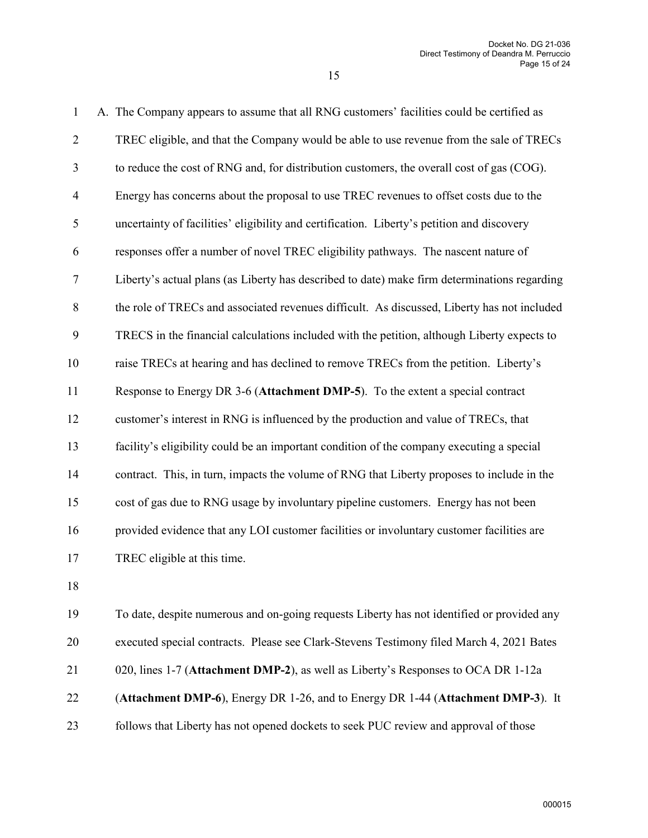| $\mathbf{1}$             | A. The Company appears to assume that all RNG customers' facilities could be certified as    |
|--------------------------|----------------------------------------------------------------------------------------------|
| $\overline{2}$           | TREC eligible, and that the Company would be able to use revenue from the sale of TRECs      |
| 3                        | to reduce the cost of RNG and, for distribution customers, the overall cost of gas (COG).    |
| $\overline{\mathcal{A}}$ | Energy has concerns about the proposal to use TREC revenues to offset costs due to the       |
| 5                        | uncertainty of facilities' eligibility and certification. Liberty's petition and discovery   |
| 6                        | responses offer a number of novel TREC eligibility pathways. The nascent nature of           |
| 7                        | Liberty's actual plans (as Liberty has described to date) make firm determinations regarding |
| $\,8$                    | the role of TRECs and associated revenues difficult. As discussed, Liberty has not included  |
| 9                        | TRECS in the financial calculations included with the petition, although Liberty expects to  |
| 10                       | raise TRECs at hearing and has declined to remove TRECs from the petition. Liberty's         |
| 11                       | Response to Energy DR 3-6 (Attachment DMP-5). To the extent a special contract               |
| 12                       | customer's interest in RNG is influenced by the production and value of TRECs, that          |
| 13                       | facility's eligibility could be an important condition of the company executing a special    |
| 14                       | contract. This, in turn, impacts the volume of RNG that Liberty proposes to include in the   |
| 15                       | cost of gas due to RNG usage by involuntary pipeline customers. Energy has not been          |
| 16                       | provided evidence that any LOI customer facilities or involuntary customer facilities are    |
| 17                       | TREC eligible at this time.                                                                  |
| 18                       |                                                                                              |
| 19                       | To date, despite numerous and on-going requests Liberty has not identified or provided any   |
| 20                       | executed special contracts. Please see Clark-Stevens Testimony filed March 4, 2021 Bates     |
| 21                       | 020, lines 1-7 (Attachment DMP-2), as well as Liberty's Responses to OCA DR 1-12a            |

- 22 (**Attachment DMP-6**), Energy DR 1-26, and to Energy DR 1-44 (**Attachment DMP-3**). It
- 23 follows that Liberty has not opened dockets to seek PUC review and approval of those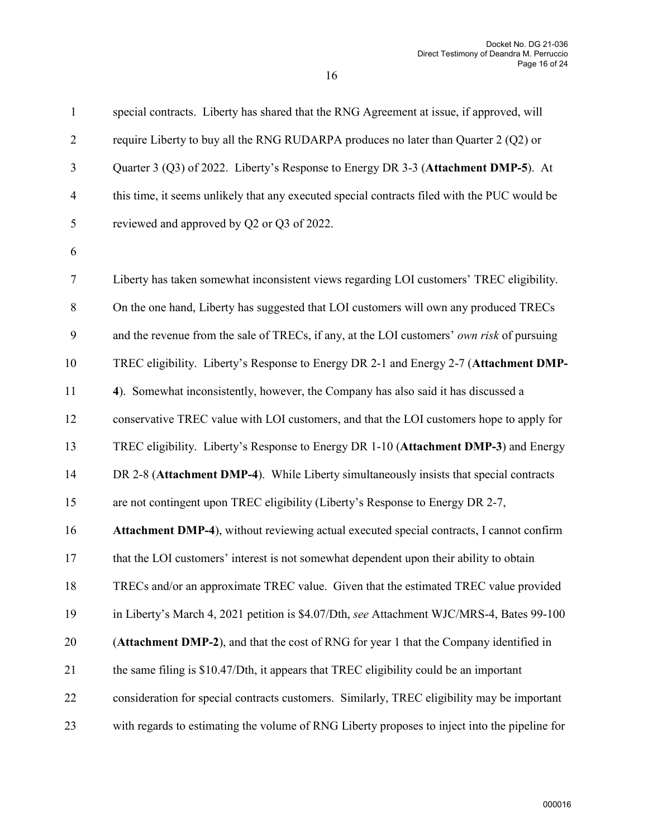| $\mathbf{1}$             | special contracts. Liberty has shared that the RNG Agreement at issue, if approved, will      |
|--------------------------|-----------------------------------------------------------------------------------------------|
| $\overline{2}$           | require Liberty to buy all the RNG RUDARPA produces no later than Quarter 2 (Q2) or           |
| 3                        | Quarter 3 (Q3) of 2022. Liberty's Response to Energy DR 3-3 (Attachment DMP-5). At            |
| $\overline{\mathcal{A}}$ | this time, it seems unlikely that any executed special contracts filed with the PUC would be  |
| 5                        | reviewed and approved by Q2 or Q3 of 2022.                                                    |
| 6                        |                                                                                               |
| $\tau$                   | Liberty has taken somewhat inconsistent views regarding LOI customers' TREC eligibility.      |
| $\,8$                    | On the one hand, Liberty has suggested that LOI customers will own any produced TRECs         |
| 9                        | and the revenue from the sale of TRECs, if any, at the LOI customers' own risk of pursuing    |
| 10                       | TREC eligibility. Liberty's Response to Energy DR 2-1 and Energy 2-7 (Attachment DMP-         |
| 11                       | 4). Somewhat inconsistently, however, the Company has also said it has discussed a            |
| 12                       | conservative TREC value with LOI customers, and that the LOI customers hope to apply for      |
| 13                       | TREC eligibility. Liberty's Response to Energy DR 1-10 (Attachment DMP-3) and Energy          |
| 14                       | DR 2-8 (Attachment DMP-4). While Liberty simultaneously insists that special contracts        |
| 15                       | are not contingent upon TREC eligibility (Liberty's Response to Energy DR 2-7,                |
| 16                       | Attachment DMP-4), without reviewing actual executed special contracts, I cannot confirm      |
| 17                       | that the LOI customers' interest is not somewhat dependent upon their ability to obtain       |
| 18                       | TRECs and/or an approximate TREC value. Given that the estimated TREC value provided          |
| 19                       | in Liberty's March 4, 2021 petition is \$4.07/Dth, see Attachment WJC/MRS-4, Bates 99-100     |
| 20                       | (Attachment DMP-2), and that the cost of RNG for year 1 that the Company identified in        |
| 21                       | the same filing is \$10.47/Dth, it appears that TREC eligibility could be an important        |
| 22                       | consideration for special contracts customers. Similarly, TREC eligibility may be important   |
| 23                       | with regards to estimating the volume of RNG Liberty proposes to inject into the pipeline for |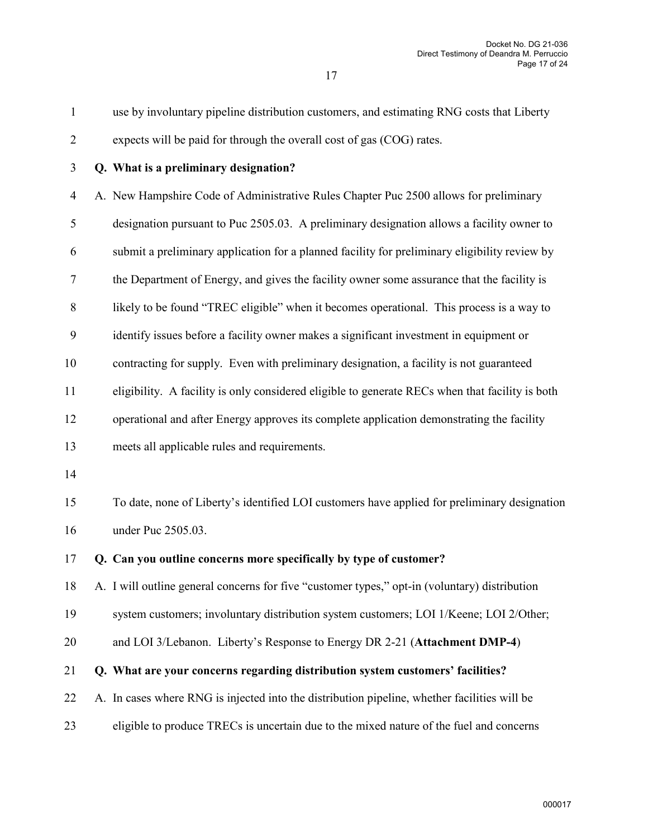| $\mathbf{1}$   | use by involuntary pipeline distribution customers, and estimating RNG costs that Liberty       |
|----------------|-------------------------------------------------------------------------------------------------|
| $\overline{c}$ | expects will be paid for through the overall cost of gas (COG) rates.                           |
| 3              | Q. What is a preliminary designation?                                                           |
| 4              | A. New Hampshire Code of Administrative Rules Chapter Puc 2500 allows for preliminary           |
| 5              | designation pursuant to Puc 2505.03. A preliminary designation allows a facility owner to       |
| 6              | submit a preliminary application for a planned facility for preliminary eligibility review by   |
| $\tau$         | the Department of Energy, and gives the facility owner some assurance that the facility is      |
| $8\,$          | likely to be found "TREC eligible" when it becomes operational. This process is a way to        |
| 9              | identify issues before a facility owner makes a significant investment in equipment or          |
| 10             | contracting for supply. Even with preliminary designation, a facility is not guaranteed         |
| 11             | eligibility. A facility is only considered eligible to generate RECs when that facility is both |
| 12             | operational and after Energy approves its complete application demonstrating the facility       |
| 13             | meets all applicable rules and requirements.                                                    |
| 14             |                                                                                                 |
| 15             | To date, none of Liberty's identified LOI customers have applied for preliminary designation    |
| 16             | under Puc 2505.03.                                                                              |
| 17             | Q. Can you outline concerns more specifically by type of customer?                              |
| 18             | A. I will outline general concerns for five "customer types," opt-in (voluntary) distribution   |
| 19             | system customers; involuntary distribution system customers; LOI 1/Keene; LOI 2/Other;          |
| 20             | and LOI 3/Lebanon. Liberty's Response to Energy DR 2-21 (Attachment DMP-4)                      |
| 21             | Q. What are your concerns regarding distribution system customers' facilities?                  |
| 22             | A. In cases where RNG is injected into the distribution pipeline, whether facilities will be    |
| 23             | eligible to produce TRECs is uncertain due to the mixed nature of the fuel and concerns         |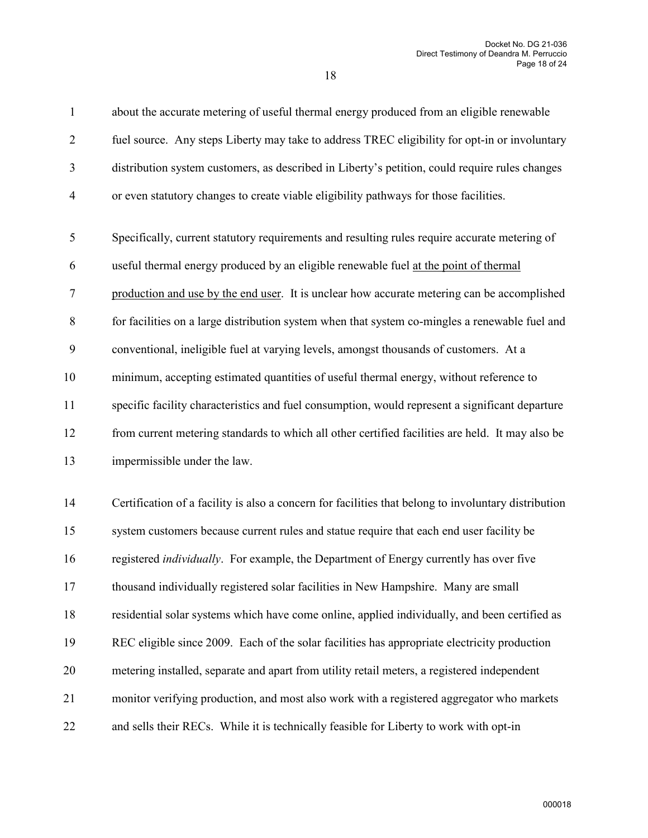| $\mathbf{1}$   | about the accurate metering of useful thermal energy produced from an eligible renewable             |
|----------------|------------------------------------------------------------------------------------------------------|
| $\overline{2}$ | fuel source. Any steps Liberty may take to address TREC eligibility for opt-in or involuntary        |
| 3              | distribution system customers, as described in Liberty's petition, could require rules changes       |
| $\overline{4}$ | or even statutory changes to create viable eligibility pathways for those facilities.                |
| 5              | Specifically, current statutory requirements and resulting rules require accurate metering of        |
| 6              | useful thermal energy produced by an eligible renewable fuel at the point of thermal                 |
| 7              | production and use by the end user. It is unclear how accurate metering can be accomplished          |
| $8\,$          | for facilities on a large distribution system when that system co-mingles a renewable fuel and       |
| 9              | conventional, ineligible fuel at varying levels, amongst thousands of customers. At a                |
| 10             | minimum, accepting estimated quantities of useful thermal energy, without reference to               |
| 11             | specific facility characteristics and fuel consumption, would represent a significant departure      |
| 12             | from current metering standards to which all other certified facilities are held. It may also be     |
| 13             | impermissible under the law.                                                                         |
| 14             | Certification of a facility is also a concern for facilities that belong to involuntary distribution |
| 15             | system customers because current rules and statue require that each end user facility be             |
| 16             | registered <i>individually</i> . For example, the Department of Energy currently has over five       |
| 17             | thousand individually registered solar facilities in New Hampshire. Many are small                   |
| 18             | residential solar systems which have come online, applied individually, and been certified as        |
| 19             | REC eligible since 2009. Each of the solar facilities has appropriate electricity production         |
| 20             | metering installed, separate and apart from utility retail meters, a registered independent          |
| 21             | monitor verifying production, and most also work with a registered aggregator who markets            |
| 22             | and sells their RECs. While it is technically feasible for Liberty to work with opt-in               |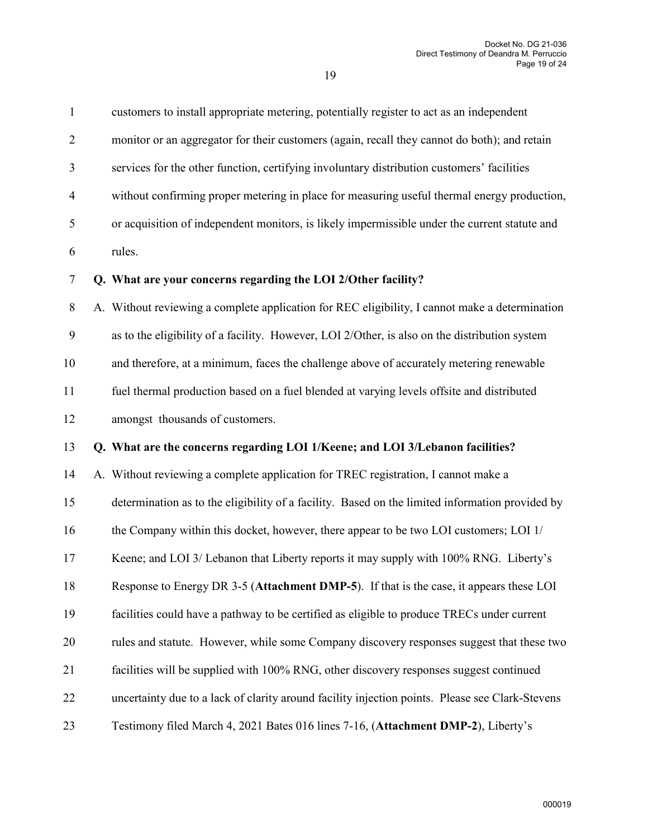| $\mathbf{1}$     | customers to install appropriate metering, potentially register to act as an independent        |
|------------------|-------------------------------------------------------------------------------------------------|
| $\overline{2}$   | monitor or an aggregator for their customers (again, recall they cannot do both); and retain    |
| 3                | services for the other function, certifying involuntary distribution customers' facilities      |
| $\overline{4}$   | without confirming proper metering in place for measuring useful thermal energy production,     |
| 5                | or acquisition of independent monitors, is likely impermissible under the current statute and   |
| 6                | rules.                                                                                          |
| $\tau$           | Q. What are your concerns regarding the LOI 2/Other facility?                                   |
| $8\,$            | A. Without reviewing a complete application for REC eligibility, I cannot make a determination  |
| $\boldsymbol{9}$ | as to the eligibility of a facility. However, LOI 2/Other, is also on the distribution system   |
| 10               | and therefore, at a minimum, faces the challenge above of accurately metering renewable         |
| 11               | fuel thermal production based on a fuel blended at varying levels offsite and distributed       |
| 12               | amongst thousands of customers.                                                                 |
| 13               | Q. What are the concerns regarding LOI 1/Keene; and LOI 3/Lebanon facilities?                   |
| 14               | A. Without reviewing a complete application for TREC registration, I cannot make a              |
| 15               | determination as to the eligibility of a facility. Based on the limited information provided by |
| 16               | the Company within this docket, however, there appear to be two LOI customers; LOI 1/           |
| 17               | Keene; and LOI 3/ Lebanon that Liberty reports it may supply with 100% RNG. Liberty's           |
| 18               | Response to Energy DR 3-5 (Attachment DMP-5). If that is the case, it appears these LOI         |
| 19               | facilities could have a pathway to be certified as eligible to produce TRECs under current      |
| 20               | rules and statute. However, while some Company discovery responses suggest that these two       |
| 21               | facilities will be supplied with 100% RNG, other discovery responses suggest continued          |
|                  |                                                                                                 |
| 22               | uncertainty due to a lack of clarity around facility injection points. Please see Clark-Stevens |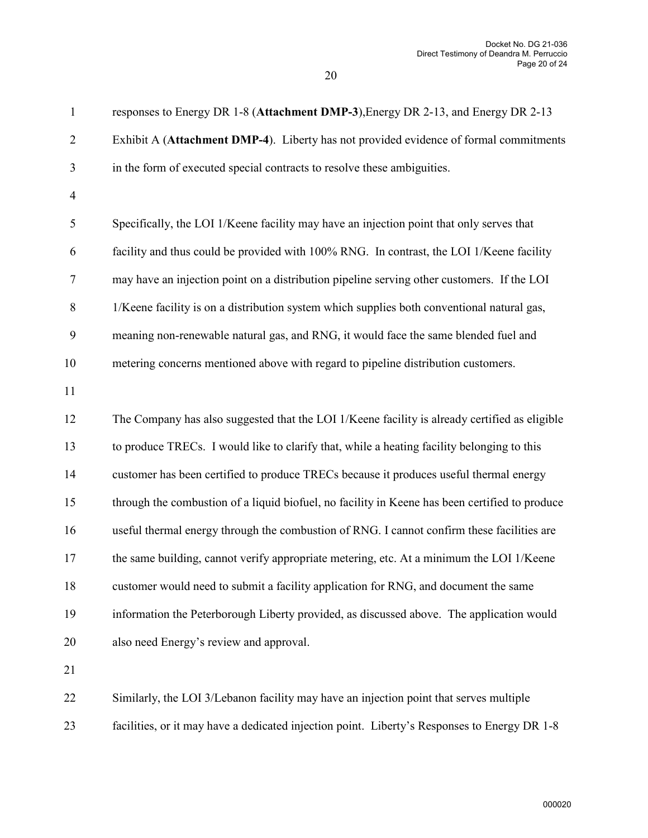| $\mathbf{1}$     | responses to Energy DR 1-8 (Attachment DMP-3), Energy DR 2-13, and Energy DR 2-13              |
|------------------|------------------------------------------------------------------------------------------------|
| $\overline{2}$   | Exhibit A (Attachment DMP-4). Liberty has not provided evidence of formal commitments          |
| 3                | in the form of executed special contracts to resolve these ambiguities.                        |
| $\overline{4}$   |                                                                                                |
| $\mathfrak s$    | Specifically, the LOI 1/Keene facility may have an injection point that only serves that       |
| 6                | facility and thus could be provided with 100% RNG. In contrast, the LOI 1/Keene facility       |
| $\tau$           | may have an injection point on a distribution pipeline serving other customers. If the LOI     |
| $8\,$            | 1/Keene facility is on a distribution system which supplies both conventional natural gas,     |
| $\boldsymbol{9}$ | meaning non-renewable natural gas, and RNG, it would face the same blended fuel and            |
| 10               | metering concerns mentioned above with regard to pipeline distribution customers.              |
| 11               |                                                                                                |
| 12               | The Company has also suggested that the LOI 1/Keene facility is already certified as eligible  |
| 13               | to produce TRECs. I would like to clarify that, while a heating facility belonging to this     |
| 14               | customer has been certified to produce TRECs because it produces useful thermal energy         |
| 15               | through the combustion of a liquid biofuel, no facility in Keene has been certified to produce |
| 16               | useful thermal energy through the combustion of RNG. I cannot confirm these facilities are     |
| 17               | the same building, cannot verify appropriate metering, etc. At a minimum the LOI 1/Keene       |
| 18               | customer would need to submit a facility application for RNG, and document the same            |
| 19               | information the Peterborough Liberty provided, as discussed above. The application would       |
| 20               | also need Energy's review and approval.                                                        |
| 21               |                                                                                                |
| 22               | Similarly, the LOI 3/Lebanon facility may have an injection point that serves multiple         |

23 facilities, or it may have a dedicated injection point. Liberty's Responses to Energy DR 1-8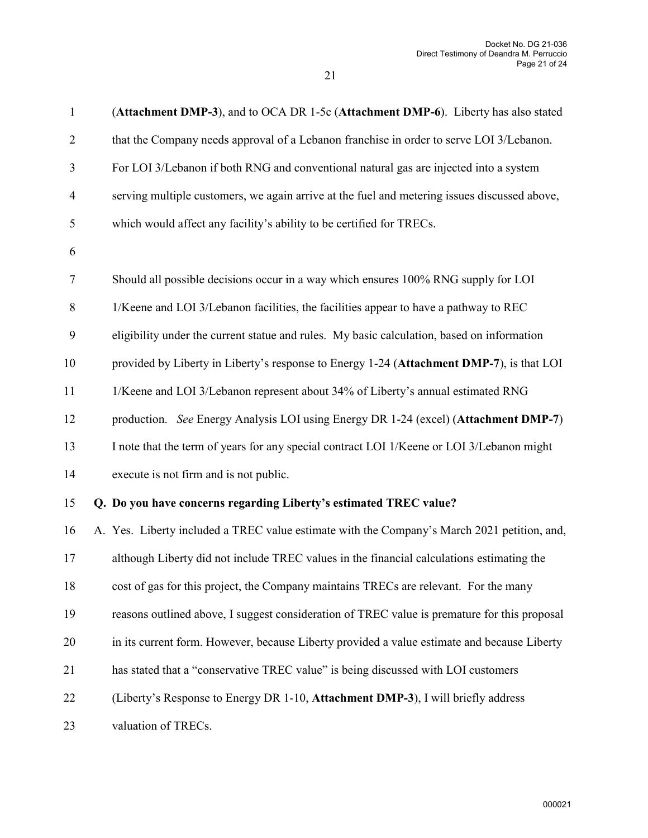| $\mathbf{1}$   | (Attachment DMP-3), and to OCA DR 1-5c (Attachment DMP-6). Liberty has also stated           |
|----------------|----------------------------------------------------------------------------------------------|
| $\overline{2}$ | that the Company needs approval of a Lebanon franchise in order to serve LOI 3/Lebanon.      |
| 3              | For LOI 3/Lebanon if both RNG and conventional natural gas are injected into a system        |
| $\overline{4}$ | serving multiple customers, we again arrive at the fuel and metering issues discussed above, |
| 5              | which would affect any facility's ability to be certified for TRECs.                         |
| 6              |                                                                                              |
| $\tau$         | Should all possible decisions occur in a way which ensures 100% RNG supply for LOI           |
| $8\,$          | 1/Keene and LOI 3/Lebanon facilities, the facilities appear to have a pathway to REC         |
| 9              | eligibility under the current statue and rules. My basic calculation, based on information   |
| 10             | provided by Liberty in Liberty's response to Energy 1-24 (Attachment DMP-7), is that LOI     |
| 11             | 1/Keene and LOI 3/Lebanon represent about 34% of Liberty's annual estimated RNG              |
| 12             | production. See Energy Analysis LOI using Energy DR 1-24 (excel) (Attachment DMP-7)          |
| 13             | I note that the term of years for any special contract LOI 1/Keene or LOI 3/Lebanon might    |
| 14             | execute is not firm and is not public.                                                       |
| 15             | Q. Do you have concerns regarding Liberty's estimated TREC value?                            |
| 16             | A. Yes. Liberty included a TREC value estimate with the Company's March 2021 petition, and,  |
| 17             | although Liberty did not include TREC values in the financial calculations estimating the    |
| 18             | cost of gas for this project, the Company maintains TRECs are relevant. For the many         |
| 19             | reasons outlined above, I suggest consideration of TREC value is premature for this proposal |
| 20             | in its current form. However, because Liberty provided a value estimate and because Liberty  |
| 21             | has stated that a "conservative TREC value" is being discussed with LOI customers            |
| 22             | (Liberty's Response to Energy DR 1-10, Attachment DMP-3), I will briefly address             |
| 23             | valuation of TRECs.                                                                          |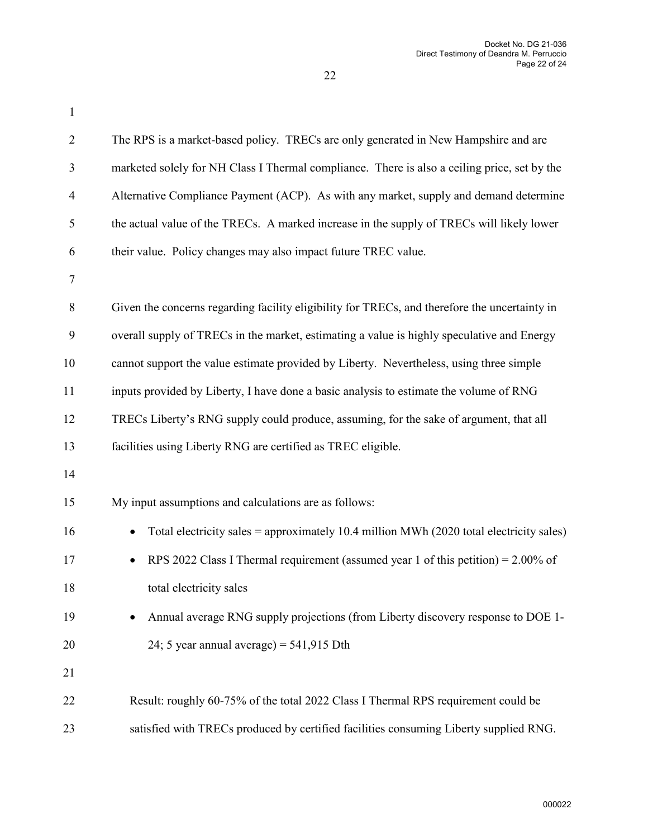| $\mathbf{1}$   |                                                                                                      |
|----------------|------------------------------------------------------------------------------------------------------|
| $\overline{2}$ | The RPS is a market-based policy. TRECs are only generated in New Hampshire and are                  |
| 3              | marketed solely for NH Class I Thermal compliance. There is also a ceiling price, set by the         |
| $\overline{4}$ | Alternative Compliance Payment (ACP). As with any market, supply and demand determine                |
| 5              | the actual value of the TRECs. A marked increase in the supply of TRECs will likely lower            |
| 6              | their value. Policy changes may also impact future TREC value.                                       |
| 7              |                                                                                                      |
| $8\,$          | Given the concerns regarding facility eligibility for TRECs, and therefore the uncertainty in        |
| 9              | overall supply of TRECs in the market, estimating a value is highly speculative and Energy           |
| 10             | cannot support the value estimate provided by Liberty. Nevertheless, using three simple              |
| 11             | inputs provided by Liberty, I have done a basic analysis to estimate the volume of RNG               |
| 12             | TRECs Liberty's RNG supply could produce, assuming, for the sake of argument, that all               |
| 13             | facilities using Liberty RNG are certified as TREC eligible.                                         |
| 14             |                                                                                                      |
| 15             | My input assumptions and calculations are as follows:                                                |
| 16             | Total electricity sales = approximately 10.4 million MWh (2020 total electricity sales)<br>$\bullet$ |
| 17             | RPS 2022 Class I Thermal requirement (assumed year 1 of this petition) = $2.00\%$ of                 |
| 18             | total electricity sales                                                                              |
| 19             | Annual average RNG supply projections (from Liberty discovery response to DOE 1-                     |
| 20             | 24; 5 year annual average) = $541,915$ Dth                                                           |
| 21             |                                                                                                      |
| 22             | Result: roughly 60-75% of the total 2022 Class I Thermal RPS requirement could be                    |
| 23             | satisfied with TRECs produced by certified facilities consuming Liberty supplied RNG.                |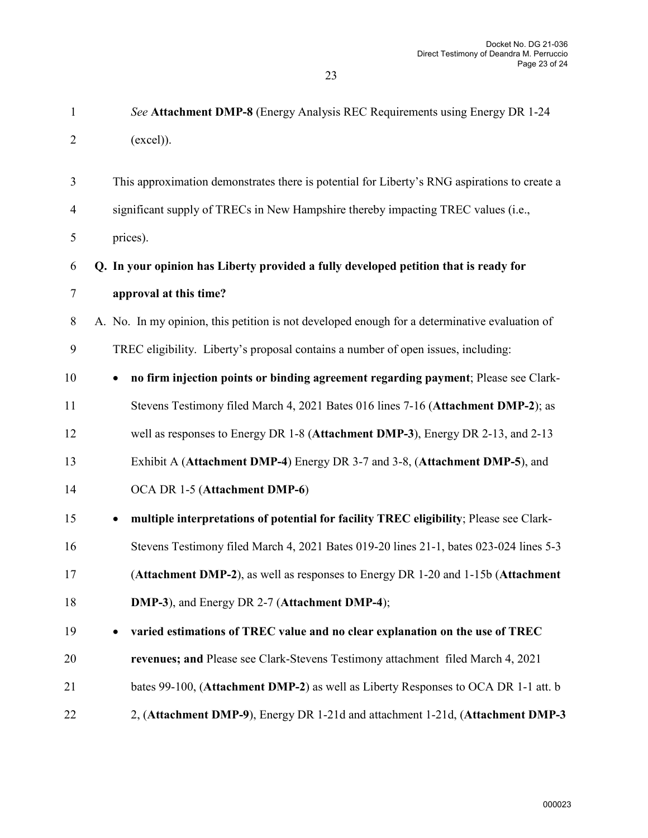| ٦<br>٠<br>× |  |
|-------------|--|

| $\mathbf{1}$   | See Attachment DMP-8 (Energy Analysis REC Requirements using Energy DR 1-24                         |
|----------------|-----------------------------------------------------------------------------------------------------|
| $\overline{2}$ | (excel).                                                                                            |
| 3              | This approximation demonstrates there is potential for Liberty's RNG aspirations to create a        |
| $\overline{4}$ | significant supply of TRECs in New Hampshire thereby impacting TREC values (i.e.,                   |
| 5              | prices).                                                                                            |
| 6              | Q. In your opinion has Liberty provided a fully developed petition that is ready for                |
| 7              | approval at this time?                                                                              |
| 8              | A. No. In my opinion, this petition is not developed enough for a determinative evaluation of       |
| 9              | TREC eligibility. Liberty's proposal contains a number of open issues, including:                   |
| 10             | no firm injection points or binding agreement regarding payment; Please see Clark-<br>$\bullet$     |
| 11             | Stevens Testimony filed March 4, 2021 Bates 016 lines 7-16 (Attachment DMP-2); as                   |
| 12             | well as responses to Energy DR 1-8 (Attachment DMP-3), Energy DR 2-13, and 2-13                     |
| 13             | Exhibit A (Attachment DMP-4) Energy DR 3-7 and 3-8, (Attachment DMP-5), and                         |
| 14             | OCA DR 1-5 (Attachment DMP-6)                                                                       |
| 15             | multiple interpretations of potential for facility TREC eligibility; Please see Clark-<br>$\bullet$ |
| 16             | Stevens Testimony filed March 4, 2021 Bates 019-20 lines 21-1, bates 023-024 lines 5-3              |
| 17             | (Attachment DMP-2), as well as responses to Energy DR 1-20 and 1-15b (Attachment                    |
| 18             | DMP-3), and Energy DR 2-7 (Attachment DMP-4);                                                       |
| 19             | varied estimations of TREC value and no clear explanation on the use of TREC<br>$\bullet$           |
| 20             | revenues; and Please see Clark-Stevens Testimony attachment filed March 4, 2021                     |
| 21             | bates 99-100, (Attachment DMP-2) as well as Liberty Responses to OCA DR 1-1 att. b                  |
| 22             | 2, (Attachment DMP-9), Energy DR 1-21d and attachment 1-21d, (Attachment DMP-3                      |